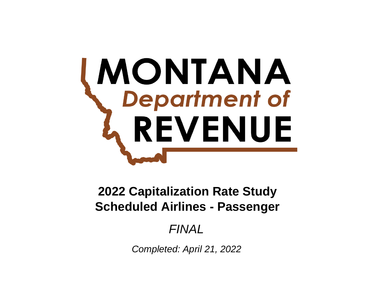# **MONTANA**<br>
Department of REVENUE

# **Scheduled Airlines - Passenger 2022 Capitalization Rate Study**

# *FINAL*

*Completed: April 21, 2022*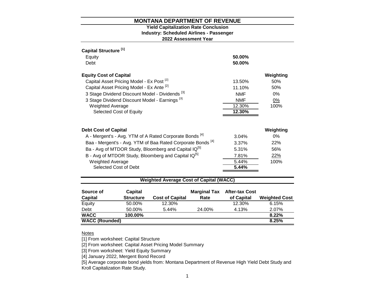# **2022 Assessment Year Industry: Scheduled Airlines - Passenger Yield Capitalization Rate Conclusion**

| Capital Structure <sup>[1]</sup>                                       |            |           |
|------------------------------------------------------------------------|------------|-----------|
| Equity                                                                 | 50.00%     |           |
| Debt                                                                   | 50.00%     |           |
| <b>Equity Cost of Capital</b>                                          |            | Weighting |
| Capital Asset Pricing Model - Ex Post <sup>[2]</sup>                   | 13.50%     | 50%       |
| Capital Asset Pricing Model - Ex Ante [2]                              | 11.10%     | 50%       |
| 3 Stage Dividend Discount Model - Dividends [3]                        | <b>NMF</b> | $0\%$     |
| 3 Stage Dividend Discount Model - Earnings <sup>[3]</sup>              | <b>NMF</b> | 0%        |
| <b>Weighted Average</b>                                                | 12.30%     | 100%      |
| Selected Cost of Equity                                                | 12.30%     |           |
|                                                                        |            |           |
| <b>Debt Cost of Capital</b>                                            |            | Weighting |
| A - Mergent's - Avg. YTM of A Rated Corporate Bonds <sup>[4]</sup>     | 3.04%      | $0\%$     |
| Baa - Mergent's - Avg. YTM of Baa Rated Corporate Bonds <sup>[4]</sup> | 3.37%      | 22%       |
| Ba - Avg of MTDOR Study, Bloomberg and Capital IQ <sup>[5]</sup>       | 5.31%      | 56%       |
| B - Avg of MTDOR Study, Bloomberg and Capital IQ <sup>[5]</sup>        | 7.81%      | 22%       |
| <b>Weighted Average</b>                                                | 5.44%      | 100%      |
| Selected Cost of Debt                                                  | 5.44%      |           |
|                                                                        |            |           |

# **Weighted Average Cost of Capital (WACC)**

| Source of             | Capital          |                        | <b>Marginal Tax</b> | <b>After-tax Cost</b> |                      |
|-----------------------|------------------|------------------------|---------------------|-----------------------|----------------------|
| <b>Capital</b>        | <b>Structure</b> | <b>Cost of Capital</b> | Rate                | of Capital            | <b>Weighted Cost</b> |
| Equity                | 50.00%           | 12.30%                 |                     | 12.30%                | 6.15%                |
| Debt                  | 50.00%           | 5.44%                  | 24.00%              | 4.13%                 | 2.07%                |
| <b>WACC</b>           | 100.00%          |                        |                     |                       | 8.22%                |
| <b>WACC (Rounded)</b> |                  |                        |                     |                       | 8.25%                |

#### Notes

[1] From worksheet: Capital Structure

[2] From worksheet: Capital Asset Pricing Model Summary

[3] From worksheet: Yield Equity Summary

[4] January 2022, Mergent Bond Record

[5] Average corporate bond yields from: Montana Department of Revenue High Yield Debt Study and Kroll Capitalization Rate Study.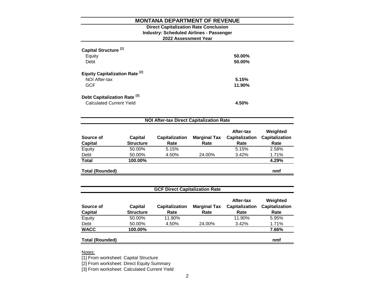# **2022 Assessment Year Industry: Scheduled Airlines - Passenger Direct Capitalization Rate Conclusion**

| Capital Structure <sup>[1]</sup><br>Equity<br>Debt                         | 50.00%<br>50.00% |
|----------------------------------------------------------------------------|------------------|
| <b>Equity Capitalization Rate [2]</b><br>NOI After-tax<br><b>GCF</b>       | 5.15%<br>11.90%  |
| Debt Capitalization Rate <sup>[3]</sup><br><b>Calculated Current Yield</b> | 4.50%            |

| Source of<br><b>Capital</b> | <b>Capital</b><br><b>Structure</b> | <b>Capitalization</b><br>Rate | <b>Marginal Tax</b><br>Rate | After-tax<br><b>Capitalization</b><br>Rate | Weighted<br><b>Capitalization</b><br>Rate |
|-----------------------------|------------------------------------|-------------------------------|-----------------------------|--------------------------------------------|-------------------------------------------|
| Equity                      | 50.00%                             | 5.15%                         |                             | 5.15%                                      | 2.58%                                     |
| Debt                        | 50.00%                             | 4.50%                         | 24.00%                      | 3.42%                                      | 1.71%                                     |
| <b>Total</b>                | 100.00%                            |                               |                             |                                            | 4.29%                                     |
| <b>Total (Rounded)</b>      |                                    |                               |                             |                                            | nmf                                       |

| <b>GCF Direct Capitalization Rate</b> |                                    |                               |                             |                                            |                                           |  |
|---------------------------------------|------------------------------------|-------------------------------|-----------------------------|--------------------------------------------|-------------------------------------------|--|
| Source of<br><b>Capital</b>           | <b>Capital</b><br><b>Structure</b> | <b>Capitalization</b><br>Rate | <b>Marginal Tax</b><br>Rate | After-tax<br><b>Capitalization</b><br>Rate | Weighted<br><b>Capitalization</b><br>Rate |  |
| Equity                                | 50.00%                             | 11.90%                        |                             | 11.90%                                     | 5.95%                                     |  |
| Debt                                  | 50.00%                             | 4.50%                         | 24.00%                      | 3.42%                                      | 1.71%                                     |  |
| <b>WACC</b>                           | 100.00%                            |                               |                             |                                            | 7.66%                                     |  |
| <b>Total (Rounded)</b>                |                                    |                               |                             |                                            | nmf                                       |  |

Notes:

[1] From worksheet: Capital Structure

[2] From worksheet: Direct Equity Summary

[3] From worksheet: Calculated Current Yield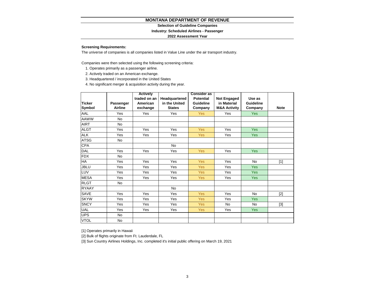#### **Selection of Guideline Companies**

#### **Industry: Scheduled Airlines - Passenger**

#### **2022 Assessment Year**

#### **Screening Requirements:**

The universe of companies is all companies listed in Value Line under the air transport industry.

Companies were then selected using the following screening criteria:

- 1. Operates primarily as a passenger airline.
- 2. Actively traded on an American exchange.
- 3. Headquartered / incorporated in the United States
- 4. No significant merger & acquisition activity during the year.

|               |                | <b>Actively</b> |               | <b>Consider as</b> |                         |            |             |
|---------------|----------------|-----------------|---------------|--------------------|-------------------------|------------|-------------|
|               |                | traded on an    | Headquartered | <b>Potential</b>   | <b>Not Engaged</b>      | Use as     |             |
| <b>Ticker</b> | Passenger      | American        | in the United | Guideline          | in Material             | Guideline  |             |
| <b>Symbol</b> | <b>Airline</b> | exchange        | <b>States</b> | Company            | <b>M&amp;A Activity</b> | Company    | <b>Note</b> |
| AAL           | Yes            | Yes             | Yes           | <b>Yes</b>         | Yes                     | <b>Yes</b> |             |
| AAWW          | <b>No</b>      |                 |               |                    |                         |            |             |
| <b>AIRT</b>   | <b>No</b>      |                 |               |                    |                         |            |             |
| <b>ALGT</b>   | Yes            | Yes             | Yes           | <b>Yes</b>         | Yes                     | <b>Yes</b> |             |
| <b>ALK</b>    | <b>Yes</b>     | Yes             | Yes           | <b>Yes</b>         | Yes                     | <b>Yes</b> |             |
| <b>ATSG</b>   | <b>No</b>      |                 |               |                    |                         |            |             |
| <b>CPA</b>    |                |                 | <b>No</b>     |                    |                         |            |             |
| <b>DAL</b>    | Yes            | Yes             | Yes           | <b>Yes</b>         | Yes                     | Yes        |             |
| <b>FDX</b>    | <b>No</b>      |                 |               |                    |                         |            |             |
| HA            | Yes            | Yes             | Yes           | <b>Yes</b>         | Yes                     | <b>No</b>  | $[1]$       |
| <b>JBLU</b>   | Yes            | Yes             | Yes           | <b>Yes</b>         | Yes                     | <b>Yes</b> |             |
| LUV           | Yes            | Yes             | Yes           | <b>Yes</b>         | Yes                     | <b>Yes</b> |             |
| <b>MESA</b>   | Yes            | Yes             | Yes           | <b>Yes</b>         | Yes                     | Yes        |             |
| <b>RLGT</b>   | <b>No</b>      |                 |               |                    |                         |            |             |
| <b>RYAAY</b>  |                |                 | No            |                    |                         |            |             |
| SAVE          | Yes            | Yes             | Yes           | <b>Yes</b>         | Yes                     | <b>No</b>  | $[2]$       |
| <b>SKYW</b>   | Yes            | Yes             | Yes           | <b>Yes</b>         | Yes                     | Yes        |             |
| <b>SNCY</b>   | Yes            | Yes             | Yes           | <b>Yes</b>         | No                      | No         | $[3]$       |
| <b>UAL</b>    | Yes            | Yes             | Yes           | <b>Yes</b>         | Yes                     | <b>Yes</b> |             |
| <b>UPS</b>    | No             |                 |               |                    |                         |            |             |
| <b>VTOL</b>   | No             |                 |               |                    |                         |            |             |

[1] Operates primarily in Hawaii

[2] Bulk of flights originate from Ft. Lauderdale, FL

[3] Sun Country Airlines Holdings, Inc. completed it's initial public offering on March 19, 2021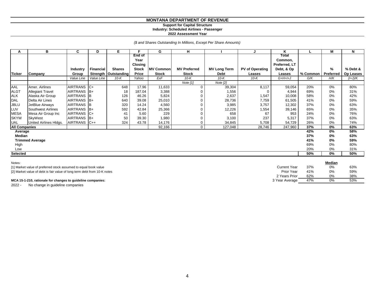#### **Support for Capital Structure Industry: Scheduled Airlines - Passenger**

**2022 Assessment Year**

*(\$ and Shares Outstanding In Millions, Except Per Share Amounts)*

| A                    | в                       | C               | D                | Е.                     | Е            | G                | н                   |                     |                        | κ             |          | М         | N         |
|----------------------|-------------------------|-----------------|------------------|------------------------|--------------|------------------|---------------------|---------------------|------------------------|---------------|----------|-----------|-----------|
|                      |                         |                 |                  |                        | End of       |                  |                     |                     |                        | Total         |          |           |           |
|                      |                         |                 |                  |                        | Year         |                  |                     |                     |                        | Common,       |          |           |           |
|                      |                         |                 |                  |                        | Closing      |                  |                     |                     |                        | Preferred, LT |          |           |           |
|                      |                         | Industry        | <b>Financial</b> | <b>Shares</b>          | <b>Stock</b> | <b>MV Common</b> | <b>MV Preferred</b> | <b>MV Long Term</b> | <b>PV of Operating</b> | Debt, & Op    |          | %         | % Debt &  |
| <b>Ticker</b>        | Company                 | Group           |                  | Strength   Outstanding | Price        | <b>Stock</b>     | <b>Stock</b>        | Debt                | Leases                 | Leases        | % Common | Preferred | Op Leases |
|                      |                         | Value Line      | Value Line       | $10-K$                 | Yahoo        | ExF              | $10-K$              | $10-K$              | $10-K$                 | $G+H+I+J$     | G/K      | H/K       | (I+J)/K   |
|                      |                         |                 |                  |                        |              |                  | Note $[1]$          | Note $[2]$          |                        |               |          |           |           |
| AAL                  | Amer. Airlines          | AIRTRANS C+     |                  | 648                    | 17.96        | 11,633           | $\mathbf 0$         | 39,304              | 8,117                  | 59,054        | 20%      | 0%        | 80%       |
| <b>ALGT</b>          | <b>Allegiant Travel</b> | AIRTRANS        | IB+              | 18                     | 187.04       | 3,388            | 0                   | 1,556               | 0                      | 4,944         | 69%      | 0%        | 31%       |
| <b>ALK</b>           | Alaska Air Group        | <b>AIRTRANS</b> | IΒ               | 126                    | 46.26        | 5,824            | 0                   | 2,637               | 1,547                  | 10,008        | 58%      | 0%        | 42%       |
| DAL                  | Delta Air Lines         | <b>AIRTRANS</b> | IB+              | 640                    | 39.08        | 25,010           | 0                   | 28,736              | 7,759                  | 61,505        | 41%      | 0%        | 59%       |
| <b>JBLU</b>          | JetBlue Airways         | <b>AIRTRANS</b> |                  | 320                    | 14.24        | 4,560            |                     | 3,985               | 3,757                  | 12,302        | 37%      | 0%        | 63%       |
| LUV                  | Southwest Airlines      | <b>AIRTRANS</b> | IB+              | 592                    | 42.84        | 25,366           | 0                   | 12,226              | 1,554                  | 39,146        | 65%      | 0%        | 35%       |
| <b>MESA</b>          | Mesa Air Group Inc      | <b>AIRTRANS</b> | $C+$             | 41                     | 5.60         | 229              |                     | 658                 | 67                     | 953           | 24%      | 0%        | 76%       |
| <b>SKYW</b>          | SkyWest                 | AIRTRANS B+     |                  | 50                     | 39.30        | 1,980            | 0                   | 3,100               | 237                    | 5,317         | 37%      | 0%        | 63%       |
| <b>UAL</b>           | United Airlines Hidgs.  | AIRTRANS C++    |                  | 324                    | 43.78        | 14,176           | 0                   | 34,845              | 5,708                  | 54,729        | 26%      | 0%        | 74%       |
| <b>All Companies</b> |                         |                 |                  |                        |              | 92,166           | 0                   | 127,048             | 28,746                 | 247,960       | 37%      | 0%        | 63%       |
| Average              |                         |                 |                  |                        |              |                  |                     |                     |                        |               | 42%      | 0%        | 58%       |
| Median               |                         |                 |                  |                        |              |                  |                     |                     |                        |               | 37%      | 0%        | 63%       |
|                      | <b>Trimmed Average</b>  |                 |                  |                        |              |                  |                     |                     |                        |               | 41%      | 0%        | 59%       |
| High                 |                         |                 |                  |                        |              |                  |                     |                     |                        |               | 69%      | 0%        | 80%       |
| Low                  |                         |                 |                  |                        |              |                  |                     |                     |                        |               | 20%      | 0%        | 31%       |
| Selected             |                         |                 |                  |                        |              |                  |                     |                     |                        |               | 50%      | $0\%$     | 50%       |

| Notes:                                                                   |                     |     | Median |     |
|--------------------------------------------------------------------------|---------------------|-----|--------|-----|
| [1] Market value of preferred stock assumed to equal book value          | <b>Current Year</b> | 37% | 0%     | 63% |
| [2] Market value of debt is fair value of long term debt from 10-K notes | Prior Year          | 41% | 0%     | 59% |
|                                                                          | 2 Years Prior       | 62% | 0%     | 38% |
| MCA 15-1-210, rationale for changes to guideline companies:              | 3 Year Average      | 47% | 0%     | 53% |

2022 - No change in guideline companies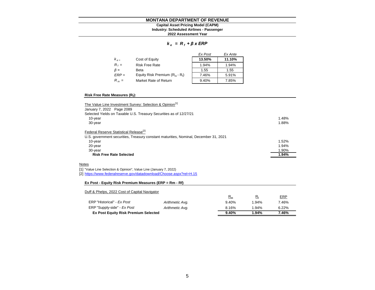## **Industry: Scheduled Airlines - Passenger Capital Asset Pricing Model (CAPM)**

#### **2022 Assessment Year**

#### *k e = R <sup>f</sup> + β x ERP*

|           |                                   | Ex Post | Ex Ante |
|-----------|-----------------------------------|---------|---------|
| $k_{e}$   | Cost of Equity                    | 13.50%  | 11.10%  |
| $R_f =$   | <b>Risk Free Rate</b>             | 1.94%   | 1.94%   |
| $\beta =$ | Beta                              | 1.55    | 1.55    |
| $ERP =$   | Equity Risk Premium $(R_m - R_i)$ | 7.46%   | 5.91%   |
| $R_m =$   | Market Rate of Return             | 9.40%   | 7.85%   |

#### **Risk Free Rate Measures (R<sup>f</sup> ):**

| The Value Line Investment Survey: Selection & Opinion <sup>[1]</sup>                 |       |
|--------------------------------------------------------------------------------------|-------|
| January 7, 2022 Page 2089                                                            |       |
| Selected Yields on Taxable U.S. Treasury Securities as of 12/27/21                   |       |
| 10-year                                                                              | 1.48% |
| 30-year                                                                              | 1.88% |
| Federal Reserve Statistical Release <sup>[2]</sup>                                   |       |
| U.S. government securities, Treasury constant maturities, Nominal, December 31, 2021 |       |
| 10-year                                                                              | 1.52% |
| 20-year                                                                              | 1.94% |
| 30-year                                                                              | 1.90% |
| <b>Risk Free Rate Selected</b>                                                       | 1.94% |
| <b>Notes</b>                                                                         |       |

[1] "Value Line Selection & Opinion", Value Line (January 7, 2022)

[2] <https://www.federalreserve.gov/datadownload/Choose.aspx?rel=H.15>

#### **Ex Post - Equity Risk Premium Measures (ERP = Rm - Rf)**

#### Duff & Phelps, 2022 Cost of Capital Navigator

| <b>Ex Post Equity Risk Premium Selected</b> |                 | 9.40%   | 1.94% | 7.46%      |
|---------------------------------------------|-----------------|---------|-------|------------|
| ERP "Supply-side" - Ex Post                 | Arithmetic Avg. | 8.16%   | 1.94% | 6.22%      |
| ERP "Historical" - Ex Post                  | Arithmetic Avg. | 9.40%   | 1.94% | 7.46%      |
|                                             |                 | $n_{m}$ | R.    | <b>ERP</b> |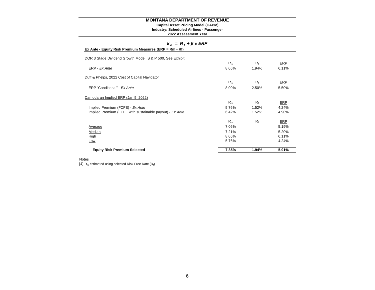#### **Industry: Scheduled Airlines - Passenger Capital Asset Pricing Model (CAPM)**

**2022 Assessment Year**

| $k_e = R_i + \beta x ERP$                                 |  |
|-----------------------------------------------------------|--|
| Ex Ante - Equity Risk Premium Measures (ERP = $Rm - Rf$ ) |  |

| $\mathsf{L}$ Ante - Equity Nisk Fieldight Measures (ENF = NIII - NI) |       |             |            |
|----------------------------------------------------------------------|-------|-------------|------------|
| DOR 3 Stage Dividend Growth Model, S & P 500, See Exhibit            |       |             |            |
|                                                                      | $R_m$ | $R_{\rm f}$ | ERP        |
| ERP - Ex Ante                                                        | 8.05% | 1.94%       | 6.11%      |
| Duff & Phelps, 2022 Cost of Capital Navigator                        |       |             |            |
|                                                                      | $R_m$ | $R_{\rm f}$ | <b>ERP</b> |
| ERP "Conditional" - Ex Ante                                          | 8.00% | 2.50%       | 5.50%      |
| Damodaran Implied ERP (Jan 5, 2022)                                  |       |             |            |
|                                                                      | $R_m$ | $R_{\rm f}$ | ERP        |
| Implied Premium (FCFE) - Ex Ante                                     | 5.76% | 1.52%       | 4.24%      |
| Implied Premium (FCFE with sustainable payout) - Ex Ante             | 6.42% | 1.52%       | 4.90%      |
|                                                                      | $R_m$ | $R_{\rm f}$ | ERP        |
| Average                                                              | 7.06% |             | 5.19%      |
| Median                                                               | 7.21% |             | 5.20%      |
| High                                                                 | 8.05% |             | 6.11%      |
| Low                                                                  | 5.76% |             | 4.24%      |
| <b>Equity Risk Premium Selected</b>                                  | 7.85% | 1.94%       | 5.91%      |

#### **Notes**

[4]  $R_m$  estimated using selected Risk Free Rate ( $R_f$ )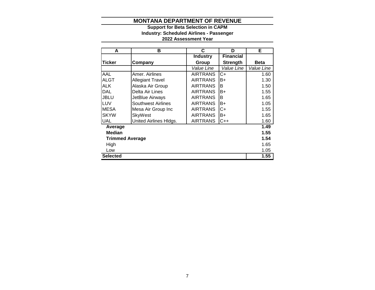# **2022 Assessment Year Industry: Scheduled Airlines - Passenger Support for Beta Selection in CAPM**

| A                      | в                         | C               | D                | Е           |
|------------------------|---------------------------|-----------------|------------------|-------------|
|                        |                           | <b>Industry</b> | <b>Financial</b> |             |
| <b>Ticker</b>          | Company                   | Group           | <b>Strength</b>  | <b>Beta</b> |
|                        |                           | Value Line      | Value Line       | Value Line  |
| AAL                    | Amer. Airlines            | <b>AIRTRANS</b> | C+               | 1.60        |
| <b>ALGT</b>            | <b>Allegiant Travel</b>   | <b>AIRTRANS</b> | B+               | 1.30        |
| <b>ALK</b>             | Alaska Air Group          | <b>AIRTRANS</b> | B                | 1.50        |
| <b>DAL</b>             | Delta Air Lines           | <b>AIRTRANS</b> | B+               | 1.55        |
| <b>JBLU</b>            | JetBlue Airways           | <b>AIRTRANS</b> | B                | 1.65        |
| LUV                    | <b>Southwest Airlines</b> | <b>AIRTRANS</b> | B+               | 1.05        |
| <b>MESA</b>            | Mesa Air Group Inc        | <b>AIRTRANS</b> | C+               | 1.55        |
| <b>SKYW</b>            | SkyWest                   | <b>AIRTRANS</b> | B+               | 1.65        |
| <b>UAL</b>             | United Airlines Hldgs.    | <b>AIRTRANS</b> | $C++$            | 1.60        |
| Average                |                           |                 |                  | 1.49        |
| Median                 |                           |                 |                  | 1.55        |
| <b>Trimmed Average</b> |                           |                 |                  | 1.54        |
| High                   |                           |                 |                  | 1.65        |
| Low                    |                           |                 |                  | 1.05        |
| <b>Selected</b>        |                           |                 |                  | 1.55        |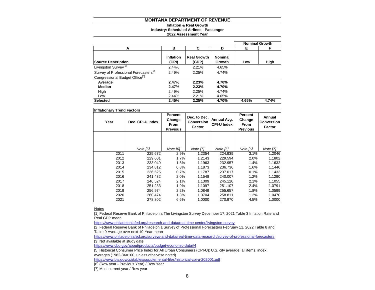#### **Inflation & Real Growth**

**Industry: Scheduled Airlines - Passenger**

#### **2022 Assessment Year**

|                                                   |                    |                             |                          |       | <b>Nominal Growth</b> |
|---------------------------------------------------|--------------------|-----------------------------|--------------------------|-------|-----------------------|
| А                                                 | в                  | C                           | D                        | Е     | F                     |
| <b>Source Description</b>                         | Inflation<br>(CPI) | <b>Real Growth</b><br>(GDP) | <b>Nominal</b><br>Growth | Low   | High                  |
| Livingston Survey <sup>[1]</sup>                  | 2.44%              | 2.21%                       | 4.65%                    |       |                       |
| Survey of Professional Forecasters <sup>[2]</sup> | 2.49%              | 2.25%                       | 4.74%                    |       |                       |
| Congressional Budget Office <sup>[3]</sup>        |                    |                             |                          |       |                       |
| Average                                           | 2.47%              | 2.23%                       | 4.70%                    |       |                       |
| Median                                            | 2.47%              | 2.23%                       | 4.70%                    |       |                       |
| High                                              | 2.49%              | 2.25%                       | 4.74%                    |       |                       |
| Low                                               | 2.44%              | 2.21%                       | 4.65%                    |       |                       |
| <b>Selected</b>                                   | 2.45%              | 2.25%                       | 4.70%                    | 4.65% | 4.74%                 |

| <b>Inflationary Trend Factors</b> |                                                                  |          |                                      |                                   |                                                     |                                |
|-----------------------------------|------------------------------------------------------------------|----------|--------------------------------------|-----------------------------------|-----------------------------------------------------|--------------------------------|
| Year                              | Percent<br>Change<br>Dec. CPI-U Index<br>From<br><b>Previous</b> |          | Dec. to Dec.<br>Conversion<br>Factor | Annual Avg.<br><b>CPI-U Index</b> | Percent<br>Change<br><b>From</b><br><b>Previous</b> | Annual<br>Conversion<br>Factor |
|                                   |                                                                  |          |                                      |                                   |                                                     |                                |
|                                   |                                                                  |          |                                      |                                   |                                                     |                                |
|                                   | Note [5]                                                         | Note [6] | Note [7]                             | Note [5]                          | Note [6]                                            | <b>Note [7]</b>                |
| 2011                              | 225.672                                                          | 2.9%     | 1.2354                               | 224.939                           | 3.1%                                                | 1.2046                         |
| 2012                              | 229.601                                                          | 1.7%     | 1.2143                               | 229.594                           | 2.0%                                                | 1.1802                         |
| 2013                              | 233.049                                                          | 1.5%     | 1.1963                               | 232.957                           | 1.4%                                                | 1.1632                         |
| 2014                              | 234.812                                                          | 0.8%     | 1.1873                               | 236.736                           | 1.6%                                                | 1.1446                         |
| 2015                              | 236.525                                                          | 0.7%     | 1.1787                               | 237.017                           | 0.1%                                                | 1.1433                         |
| 2016                              | 241.432                                                          | 2.0%     | 1.1548                               | 240.007                           | 1.2%                                                | 1.1290                         |
| 2017                              | 246.524                                                          | 2.1%     | 1.1309                               | 245.120                           | 2.1%                                                | 1.1055                         |
| 2018                              | 251.233                                                          | 1.9%     | 1.1097                               | 251.107                           | 2.4%                                                | 1.0791                         |
| 2019                              | 256.974                                                          | 2.2%     | 1.0849                               | 255.657                           | 1.8%                                                | 1.0599                         |
| 2020                              | 260.474                                                          | 1.3%     | 1.0704                               | 258.811                           | 1.2%                                                | 1.0470                         |
| 2021                              | 278.802                                                          | 6.6%     | 1.0000                               | 270.970                           | 4.5%                                                | 1.0000                         |

Notes

[1] Federal Reserve Bank of Philadelphia The Livingston Survey December 17, 2021 Table 3 Inflation Rate and Real GDP mean

<https://www.philadelphiafed.org/research-and-data/real-time-center/livingston-survey>

[2] Federal Reserve Bank of Philadelphia Survey of Professional Forecasters February 11, 2022 Table 8 and Table 9 Average over next 10-Year mean

<https://www.philadelphiafed.org/surveys-and-data/real-time-data-research/survey-of-professional-forecasters> [3] Not available at study date

<https://www.cbo.gov/about/products/budget-economic-data#4>

[5] Historical Consumer Price Index for All Urban Consumers (CPI-U): U.S. city average, all items, index averages (1982-84=100, unless otherwise noted)

<https://www.bls.gov/cpi/tables/supplemental-files/historical-cpi-u-202001.pdf>

[6] (Row year - Previous Year) / Row Year

[7] Most current year / Row year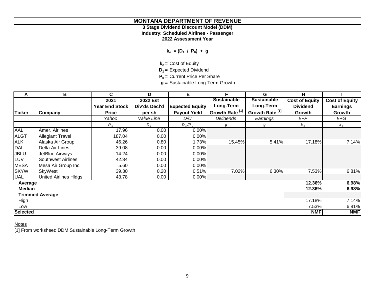# **3 Stage Dividend Discount Model (DDM)**

**Industry: Scheduled Airlines - Passenger**

**2022 Assessment Year**

**ke = (D<sup>1</sup> / P<sup>0</sup> ) + g**

**ke =** Cost of Equity

**D1 =** Expected Dividend

**P0 =** Current Price Per Share

**g =** Sustainable Long-Term Growth

| A               | В                         | C                     | D             | E                      | F                          | G                          | н                     |                       |
|-----------------|---------------------------|-----------------------|---------------|------------------------|----------------------------|----------------------------|-----------------------|-----------------------|
|                 |                           | 2021                  | 2022 Est      |                        | <b>Sustainable</b>         | <b>Sustainable</b>         | <b>Cost of Equity</b> | <b>Cost of Equity</b> |
|                 |                           | <b>Year End Stock</b> | Div'ds Decl'd | <b>Expected Equity</b> | Long-Term                  | Long-Term                  | <b>Dividend</b>       | <b>Earnings</b>       |
| <b>Ticker</b>   | Company                   | <b>Price</b>          | per sh        | <b>Payout Yield</b>    | Growth Rate <sup>[1]</sup> | Growth Rate <sup>[1]</sup> | Growth                | Growth                |
|                 |                           | Yahoo                 | Value Line    | D/C                    | <b>Dividends</b>           | Earnings                   | $E+F$                 | E+G                   |
|                 |                           | $P_0$                 | $D_{1}$       | $D_1/P_0$              | g                          | g                          | $k_e$                 | $k_e$                 |
| AAL             | Amer. Airlines            | 17.96                 | 0.00          | 0.00%                  |                            |                            |                       |                       |
| <b>ALGT</b>     | <b>Allegiant Travel</b>   | 187.04                | 0.00          | 0.00%                  |                            |                            |                       |                       |
| <b>ALK</b>      | Alaska Air Group          | 46.26                 | 0.80          | 1.73%                  | 15.45%                     | 5.41%                      | 17.18%                | 7.14%                 |
| <b>DAL</b>      | Delta Air Lines           | 39.08                 | 0.00          | 0.00%                  |                            |                            |                       |                       |
| <b>JBLU</b>     | JetBlue Airways           | 14.24                 | 0.00          | 0.00%                  |                            |                            |                       |                       |
| LUV             | <b>Southwest Airlines</b> | 42.84                 | 0.00          | 0.00%                  |                            |                            |                       |                       |
| <b>MESA</b>     | Mesa Air Group Inc        | 5.60                  | 0.00          | 0.00%                  |                            |                            |                       |                       |
| <b>SKYW</b>     | SkyWest                   | 39.30                 | 0.20          | 0.51%                  | 7.02%                      | 6.30%                      | 7.53%                 | 6.81%                 |
| UAL             | United Airlines Hldgs.    | 43.78                 | 0.00          | $0.00\%$               |                            |                            |                       |                       |
| Average         |                           |                       |               |                        |                            |                            | 12.36%                | 6.98%                 |
| <b>Median</b>   |                           |                       |               |                        |                            |                            | 12.36%                | 6.98%                 |
|                 | <b>Trimmed Average</b>    |                       |               |                        |                            |                            |                       |                       |
| High            |                           |                       |               |                        |                            |                            | 17.18%                | 7.14%                 |
| Low             |                           |                       |               |                        |                            |                            | 7.53%                 | 6.81%                 |
| <b>Selected</b> |                           |                       |               |                        |                            |                            | <b>NMF</b>            | <b>NMF</b>            |

# **Notes**

[1] From worksheet: DDM Sustainable Long-Term Growth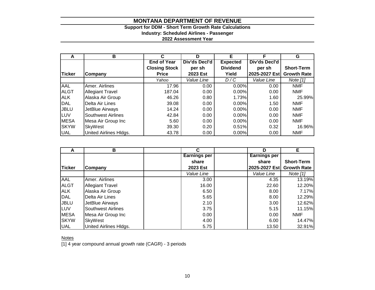# **Support for DDM - Short Term Growth Rate Calculations Industry: Scheduled Airlines - Passenger**

**2022 Assessment Year**

| А           | в                       | С                    | D             | F               |               | G                  |
|-------------|-------------------------|----------------------|---------------|-----------------|---------------|--------------------|
|             |                         | <b>End of Year</b>   | Div'ds Decl'd | <b>Expected</b> | Div'ds Decl'd |                    |
|             |                         | <b>Closing Stock</b> | per sh        | <b>Dividend</b> | per sh        | <b>Short-Term</b>  |
| Ticker      | Company                 | <b>Price</b>         | 2023 Est      | Yield           | 2025-2027 Est | <b>Growth Rate</b> |
|             |                         | Yahoo                | Value Line    | D/C             | Value Line    | Note [1]           |
| <b>AAL</b>  | Amer. Airlines          | 17.96                | 0.00          | 0.00%           | 0.00          | <b>NMF</b>         |
| <b>ALGT</b> | <b>Allegiant Travel</b> | 187.04               | 0.00          | 0.00%           | 0.00          | <b>NMF</b>         |
| <b>ALK</b>  | Alaska Air Group        | 46.26                | 0.80          | 1.73%           | 1.60          | 25.99%             |
| DAL         | Delta Air Lines         | 39.08                | 0.00          | $0.00\%$        | 1.50          | <b>NMF</b>         |
| <b>JBLU</b> | JetBlue Airways         | 14.24                | 0.00          | 0.00%           | 0.00          | <b>NMF</b>         |
| LUV         | Southwest Airlines      | 42.84                | 0.00          | 0.00%           | 0.00          | <b>NMF</b>         |
| <b>MESA</b> | Mesa Air Group Inc      | 5.60                 | 0.00          | $0.00\%$        | 0.00          | <b>NMF</b>         |
| <b>SKYW</b> | SkyWest                 | 39.30                | 0.20          | 0.51%           | 0.32          | 16.96%             |
| <b>UAL</b>  | United Airlines HIdgs.  | 43.78                | 0.00          | $0.00\%$        | 0.00          | <b>NMF</b>         |

| А             | в                         | C                   | D                   | Е                  |
|---------------|---------------------------|---------------------|---------------------|--------------------|
|               |                           | <b>Earnings per</b> | <b>Earnings per</b> |                    |
|               |                           | share               | share               | <b>Short-Term</b>  |
| <b>Ticker</b> | Company                   | 2023 Est            | 2025-2027 Est       | <b>Growth Rate</b> |
|               |                           | Value Line          | Value Line          | Note $[1]$         |
| <b>AAL</b>    | Amer. Airlines            | 3.00                | 4.35                | 13.19%             |
| <b>ALGT</b>   | <b>Allegiant Travel</b>   | 16.00               | 22.60               | 12.20%             |
| <b>ALK</b>    | Alaska Air Group          | 6.50                | 8.00                | 7.17%              |
| <b>DAL</b>    | Delta Air Lines           | 5.65                | 8.00                | 12.29%             |
| <b>JBLU</b>   | JetBlue Airways           | 2.10                | 3.00                | 12.62%             |
| LUV           | <b>Southwest Airlines</b> | 3.75                | 5.15                | 11.15%             |
| <b>MESA</b>   | Mesa Air Group Inc        | 0.00                | 0.00                | NMF                |
| <b>SKYW</b>   | SkyWest                   | 4.00                | 6.00                | 14.47%             |
| <b>UAL</b>    | United Airlines Hldgs.    | 5.75                | 13.50               | 32.91%             |

**Notes** 

[1] 4 year compound annual growth rate (CAGR) - 3 periods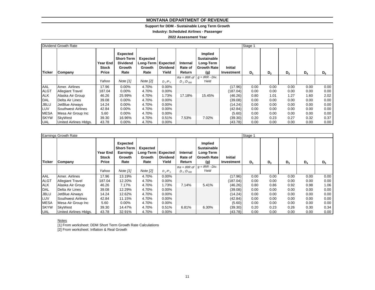#### **Support for DDM - Sustainable Long Term Growth**

**Industry: Scheduled Airlines - Passenger**

#### **2022 Assessment Year**

|               | Dividend Growth Rate    |                                   |                                                                    |                                                           |                          |                               |                                                                         |                       | Stage 1 |                |       |       |                |  |
|---------------|-------------------------|-----------------------------------|--------------------------------------------------------------------|-----------------------------------------------------------|--------------------------|-------------------------------|-------------------------------------------------------------------------|-----------------------|---------|----------------|-------|-------|----------------|--|
| <b>Ticker</b> | Company                 | Year End<br><b>Stock</b><br>Price | Expected<br><b>Short-Term</b><br><b>Dividend</b><br>Growth<br>Rate | <b>Expected</b><br>Long-Term   Expected<br>Growth<br>Rate | <b>Dividend</b><br>Yield | Internal<br>Rate of<br>Return | Implied<br><b>Sustainable</b><br>Long-Term<br><b>Growth Rate</b><br>(g) | Initial<br>Investment | $D_1$   | D <sub>2</sub> | $D_3$ | $D_4$ | D <sub>5</sub> |  |
|               |                         |                                   |                                                                    |                                                           |                          | $Ke = IRR$ of                 | $q = IRR - Div.$                                                        |                       |         |                |       |       |                |  |
|               |                         | Yahoo                             | Note $[1]$                                                         | Note $[2]$                                                | $D_1/P_0$                | $D_1:D_{500}$                 | Yield                                                                   |                       |         |                |       |       |                |  |
| <b>AAL</b>    | Amer. Airlines          | 17.96                             | $0.00\%$                                                           | 4.70%                                                     | 0.00%                    |                               |                                                                         | (17.96)               | 0.00    | 0.00           | 0.00  | 0.00  | 0.00           |  |
| <b>ALGT</b>   | <b>Allegiant Travel</b> | 187.04                            | $0.00\%$                                                           | 4.70%                                                     | 0.00%                    |                               |                                                                         | (187.04)              | 0.00    | 0.00           | 0.00  | 0.00  | 0.00           |  |
| <b>ALK</b>    | Alaska Air Group        | 46.26                             | 25.99%                                                             | 4.70%                                                     | 1.73%                    | 17.18%                        | 15.45%                                                                  | (46.26)               | 0.80    | 1.01           | 1.27  | 1.60  | 2.02           |  |
| <b>DAL</b>    | Delta Air Lines         | 39.08                             | 0.00%                                                              | 4.70%                                                     | $0.00\%$                 |                               |                                                                         | (39.08)               | 0.00    | 0.00           | 0.00  | 0.00  | 0.00           |  |
| JBLU          | JetBlue Airways         | 14.24                             | $0.00\%$                                                           | 4.70%                                                     | $0.00\%$                 |                               |                                                                         | (14.24)               | 0.00    | 0.00           | 0.00  | 0.00  | 0.00           |  |
| <b>LUV</b>    | Southwest Airlines      | 42.84                             | $0.00\%$                                                           | 4.70%                                                     | $0.00\%$                 |                               |                                                                         | (42.84)               | 0.00    | 0.00           | 0.00  | 0.00  | 0.00           |  |
| <b>MESA</b>   | Mesa Air Group Inc      | 5.60                              | $0.00\%$                                                           | 4.70%                                                     | $0.00\%$                 |                               |                                                                         | (5.60)                | 0.00    | 0.00           | 0.00  | 0.00  | 0.00           |  |
| <b>SKYW</b>   | <b>SkyWest</b>          | 39.30                             | 16.96%                                                             | 4.70%                                                     | 0.51%                    | 7.53%                         | 7.02%                                                                   | (39.30)               | 0.20    | 0.23           | 0.27  | 0.32  | 0.37           |  |
| UAL           | United Airlines HIdgs.  | 43.78                             | $0.00\%$                                                           | 4.70%                                                     | $0.00\%$                 |                               |                                                                         | (43.78)               | 0.00    | 0.00           | 0.00  | 0.00  | 0.00           |  |

|               | Earnings Growth Rate      | Stage 1                           |                                                             |                                                           |                          |                               |                                                                         |                              |       |                |       |       |       |
|---------------|---------------------------|-----------------------------------|-------------------------------------------------------------|-----------------------------------------------------------|--------------------------|-------------------------------|-------------------------------------------------------------------------|------------------------------|-------|----------------|-------|-------|-------|
| <b>Ticker</b> | Company                   | Year End<br><b>Stock</b><br>Price | Expected<br><b>Short-Term</b><br>Earnings<br>Growth<br>Rate | <b>Expected</b><br>Long-Term   Expected<br>Growth<br>Rate | <b>Dividend</b><br>Yield | Internal<br>Rate of<br>Return | Implied<br><b>Sustainable</b><br>Long-Term<br><b>Growth Rate</b><br>(g) | <b>Initial</b><br>Investment | $D_1$ | D <sub>2</sub> | $D_3$ | $D_4$ | $D_5$ |
|               |                           |                                   |                                                             |                                                           |                          | $Ke = IRR$ of                 | $g = IRR - Div.$                                                        |                              |       |                |       |       |       |
|               |                           | Yahoo                             | Note $[1]$                                                  | Note [2]                                                  | $D_1/P_0$                | $D_1$ : $D_{500}$             | Yield                                                                   |                              |       |                |       |       |       |
| AAL           | Amer. Airlines            | 17.96                             | 13.19%                                                      | 4.70%                                                     | $0.00\%$                 |                               |                                                                         | (17.96)                      | 0.00  | 0.00           | 0.00  | 0.00  | 0.00  |
| <b>ALGT</b>   | <b>Allegiant Travel</b>   | 187.04                            | 12.20%                                                      | 4.70%                                                     | $0.00\%$                 |                               |                                                                         | (187.04)                     | 0.00  | 0.00           | 0.00  | 0.00  | 0.00  |
| ALK           | Alaska Air Group          | 46.26                             | 7.17%                                                       | 4.70%                                                     | 1.73%                    | 7.14%                         | 5.41%                                                                   | (46.26)                      | 0.80  | 0.86           | 0.92  | 0.98  | 1.06  |
| DAL           | Delta Air Lines           | 39.08                             | 12.29%                                                      | 4.70%                                                     | $0.00\%$                 |                               |                                                                         | (39.08)                      | 0.00  | 0.00           | 0.00  | 0.00  | 0.00  |
| <b>JBLU</b>   | JetBlue Airways           | 14.24                             | 12.62%                                                      | 4.70%                                                     | 0.00%                    |                               |                                                                         | (14.24)                      | 0.00  | 0.00           | 0.00  | 0.00  | 0.00  |
| LUV           | <b>Southwest Airlines</b> | 42.84                             | 11.15%                                                      | 4.70%                                                     | 0.00%                    |                               |                                                                         | (42.84)                      | 0.00  | 0.00           | 0.00  | 0.00  | 0.00  |
| <b>MESA</b>   | Mesa Air Group Inc        | 5.60                              | $0.00\%$                                                    | 4.70%                                                     | $0.00\%$                 |                               |                                                                         | (5.60)                       | 0.00  | 0.00           | 0.00  | 0.00  | 0.00  |
| <b>ISKYW</b>  | SkyWest                   | 39.30                             | 14.47%                                                      | 4.70%                                                     | 0.51%                    | 6.81%                         | 6.30%                                                                   | (39.30)                      | 0.20  | 0.23           | 0.26  | 0.30  | 0.34  |
| UAL           | United Airlines Hldgs.    | 43.78                             | 32.91%                                                      | 4.70%                                                     | $0.00\%$                 |                               |                                                                         | (43.78)                      | 0.00  | 0.00           | 0.00  | 0.00  | 0.00  |

#### Notes

[1] From worksheet: DDM Short Term Growth Rate Calculations [2] From worksheet: Inflation & Real Growth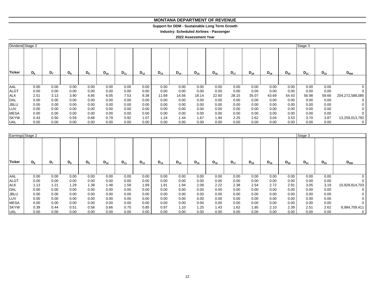#### **MONTANA DEPARTMENT OF REVENUE MONTANA DEPARTMENT OF REVENUE**

#### **Support for DDM - Sustainable Long Term Growth Support for DDM - Sustainable Long Term Growth**

**Industry: Scheduled Airlines - Passenger Industry: Scheduled Airlines - Passenger**

#### **2022 Assessment Year**

| Dividend Stage 2 |       |                |       |       |          |          |          |          |          |          |          |          |          |          |          | Stage 3  |          |                 |
|------------------|-------|----------------|-------|-------|----------|----------|----------|----------|----------|----------|----------|----------|----------|----------|----------|----------|----------|-----------------|
| <b>Ticker</b>    | $D_6$ | D <sub>7</sub> | $D_8$ | $D_9$ | $D_{10}$ | $D_{11}$ | $D_{12}$ | $D_{13}$ | $D_{14}$ | $D_{15}$ | $D_{16}$ | $D_{17}$ | $D_{18}$ | $D_{19}$ | $D_{20}$ | $D_{21}$ | $D_{22}$ | $D_{500}$       |
|                  |       |                |       |       |          |          |          |          |          |          |          |          |          |          |          |          |          |                 |
| <b>AAL</b>       | 0.00  | 0.00           | 0.00  | 0.00  | 0.00     | 0.00     | 0.00     | 0.00     | 0.00     | 0.00     | 0.00     | 0.00     | 0.00     | 0.00     | 0.00     | 0.00     | 0.00     |                 |
| <b>ALGT</b>      | 0.00  | 0.00           | 0.00  | 0.00  | 0.00     | 0.00     | 0.00     | 0.00     | 0.00     | 0.00     | 0.00     | 0.00     | 0.00     | 0.00     | 0.00     | 0.00     | 0.00     |                 |
| <b>ALK</b>       | 2.51  | 3.13           | 3.90  | 4.85  | 6.05     | 7.53     | 9.38     | 11.69    | 14.56    | 18.14    | 22.60    | 28.15    | 35.07    | 43.69    | 54.43    | 56.98    | 59.66    | 204,272,588,085 |
| <b>DAL</b>       | 0.00  | 0.00           | 0.00  | 0.00  | 0.00     | 0.00     | 0.00     | 0.00     | 0.00     | 0.00     | 0.00     | 0.00     | 0.00     | 0.00     | 0.00     | 0.00     | 0.00     |                 |
| <b>JBLU</b>      | 0.00  | 0.00           | 0.00  | 0.00  | 0.00     | 0.00     | 0.00     | 0.00     | 0.00     | 0.00     | 0.00     | 0.00     | 0.00     | 0.00     | 0.00     | 0.00     | 0.00     |                 |
| LUV              | 0.00  | 0.00           | 0.00  | 0.00  | 0.00     | 0.00     | 0.00     | 0.00     | 0.00     | 0.00     | 0.00     | 0.00     | 0.00     | 0.00     | 0.00     | 0.00     | 0.00     |                 |
| <b>MESA</b>      | 0.00  | 0.00           | 0.00  | 0.00  | 0.00     | 0.00     | 0.00     | 0.00     | 0.00     | 0.00     | 0.00     | 0.00     | 0.00     | 0.00     | 0.00     | 0.00     | 0.00     |                 |
| <b>SKYW</b>      | 0.43  | 0.50           | 0.59  | 0.68  | 0.79     | 0.92     | 1.07     | 1.24     | 1.44     | 1.67     | 1.94     | 2.25     | 2.62     | 3.04     | 3.53     | 3.70     | 3.87     | 13,259,013,792  |
| UAL              | 0.00  | 0.00           | 0.00  | 0.00  | 0.00     | 0.00     | 0.00     | 0.00     | 0.00     | 0.00     | 0.00     | 0.00     | 0.00     | 0.00     | 0.00     | 0.00     | 0.00     | 0               |

| Earnings Stage 2 |       |                |       |                |          |          |          |          |          |          |          |          |          |          |          | Stage 3  |          |                |
|------------------|-------|----------------|-------|----------------|----------|----------|----------|----------|----------|----------|----------|----------|----------|----------|----------|----------|----------|----------------|
| Ticker           | $D_6$ | D <sub>7</sub> | $D_8$ | D <sub>9</sub> | $D_{10}$ | $D_{11}$ | $D_{12}$ | $D_{13}$ | $D_{14}$ | $D_{15}$ | $D_{16}$ | $D_{17}$ | $D_{18}$ | $D_{19}$ | $D_{20}$ | $D_{21}$ | $D_{22}$ | $D_{500}$      |
|                  |       |                |       |                |          |          |          |          |          |          |          |          |          |          |          |          |          |                |
| AAL              | 0.00  | 0.00           | 0.00  | 0.00           | 0.00     | 0.00     | 0.00     | 0.00     | 0.00     | 0.00     | 0.00     | 0.00     | 0.00     | 0.00     | 0.00     | 0.00     | 0.00     |                |
| <b>ALGT</b>      | 0.00  | 0.00           | 0.00  | 0.00           | 0.00     | 0.00     | 0.00     | 0.00     | 0.00     | 0.00     | 0.00     | 0.00     | 0.00     | 0.00     | 0.00     | 0.00     | 0.00     |                |
| <b>ALK</b>       | 1.13  | 1.21           | 1.29  | 1.38           | 1.48     | 1.58     | 1.69     | 1.81     | 1.94     | 2.08     | 2.22     | 2.38     | 2.54     | 2.72     | 2.91     | 3.05     | 3.19     | 10,929,814,703 |
| <b>DAL</b>       | 0.00  | 0.00           | 0.00  | 0.00           | 0.00     | 0.00     | 0.00     | 0.00     | 0.00     | 0.00     | 0.00     | 0.00     | 0.00     | 0.00     | 0.00     | 0.00     | 0.00     |                |
| <b>JBLU</b>      | 0.00  | 0.00           | 0.00  | 0.00           | 0.00     | 0.00     | 0.00     | 0.00     | 0.00     | 0.00     | 0.00     | 0.00     | 0.00     | 0.00     | 0.00     | 0.00     | 0.00     |                |
| LUV              | 0.00  | 0.00           | 0.00  | 0.00           | 0.00     | 0.00     | 0.00     | 0.00     | 0.00     | 0.00     | 0.00     | 0.00     | 0.00     | 0.00     | 0.00     | 0.00     | 0.00     |                |
| <b>MESA</b>      | 0.00  | 0.00           | 0.00  | 0.00           | 0.00     | 0.00     | 0.00     | 0.00     | 0.00     | 0.00     | 0.00     | 0.00     | 0.00     | 0.00     | 0.00     | 0.00     | 0.00     |                |
| <b>SKYW</b>      | 0.39  | 0.44           | 0.51  | 0.58           | 0.66     | 0.75     | 0.85     | 0.97     | 1.10     | 1.25     | 1.43     | 1.62     | 1.85     | 2.10     | 2.39     | 2.51     | 2.62     | 8,984,709,411  |
| <b>UAL</b>       | 0.00  | 0.00           | 0.00  | 0.00           | 0.00     | 0.00     | 0.00     | 0.00     | 0.00     | 0.00     | 0.00     | 0.00     | 0.00     | 0.00     | 0.00     | 0.00     | 0.00     | 0              |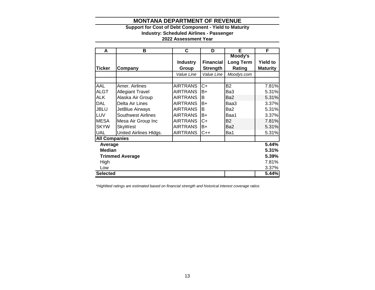# **Support for Cost of Debt Component - Yield to Maturity**

**Industry: Scheduled Airlines - Passenger**

# **2022 Assessment Year**

| A                    | в                         | C               | D                | Е                | F               |
|----------------------|---------------------------|-----------------|------------------|------------------|-----------------|
|                      |                           |                 |                  | Moody's          |                 |
|                      |                           | <b>Industry</b> | <b>Financial</b> | <b>Long Term</b> | <b>Yield to</b> |
| Ticker               | Company                   | Group           | <b>Strength</b>  | Rating           | <b>Maturity</b> |
|                      |                           | Value Line      | Value Line       | Moodys.com       |                 |
|                      |                           |                 |                  |                  |                 |
| AAL                  | Amer. Airlines            | <b>AIRTRANS</b> | $C+$             | <b>B2</b>        | 7.81%           |
| <b>ALGT</b>          | <b>Allegiant Travel</b>   | <b>AIRTRANS</b> | B+               | Ba3              | 5.31%           |
| <b>ALK</b>           | Alaska Air Group          | <b>AIRTRANS</b> | В                | Ba2              | 5.31%           |
| DAL                  | Delta Air Lines           | <b>AIRTRANS</b> | B+               | Baa3             | 3.37%           |
| <b>JBLU</b>          | JetBlue Airways           | <b>AIRTRANS</b> | B                | Ba2              | 5.31%           |
| LUV                  | <b>Southwest Airlines</b> | <b>AIRTRANS</b> | B+               | Baa1             | 3.37%           |
| <b>MESA</b>          | Mesa Air Group Inc        | <b>AIRTRANS</b> | C+               | <b>B2</b>        | 7.81%           |
| <b>SKYW</b>          | SkyWest                   | <b>AIRTRANS</b> | $B+$             | Ba <sub>2</sub>  | 5.31%           |
| <b>UAL</b>           | United Airlines Hldgs.    | <b>AIRTRANS</b> | $C++$            | Ba1              | 5.31%           |
| <b>All Companies</b> |                           |                 |                  |                  |                 |
| Average              |                           |                 |                  |                  | 5.44%           |
| <b>Median</b>        |                           |                 |                  |                  | 5.31%           |
|                      | <b>Trimmed Average</b>    |                 |                  |                  | 5.39%           |
| High                 |                           |                 |                  |                  | 7.81%           |
| Low                  |                           |                 |                  |                  | 3.37%           |
| <b>Selected</b>      |                           |                 |                  |                  | 5.44%           |

*\*Highlited ratings are estimated based on financial strength and historical interest coverage ratios*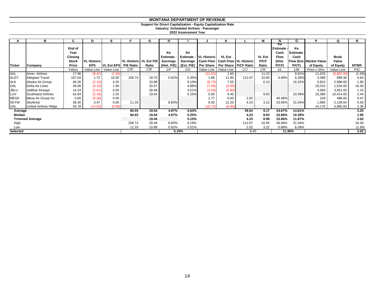#### **Support for Direct Capitalization - Equity Capitalization Rate**

**Industry: Scheduled Airlines - Passenger**

**2022 Assessment Year**

|                        | в                       | C              | D                  | Е                    | Е                        | G     | н               |            |                    | Κ             |                                                               | M             |                              | O          | P                       | Q           | R           |
|------------------------|-------------------------|----------------|--------------------|----------------------|--------------------------|-------|-----------------|------------|--------------------|---------------|---------------------------------------------------------------|---------------|------------------------------|------------|-------------------------|-------------|-------------|
|                        |                         | End of<br>Year |                    |                      |                          |       | Ke              | Ke         |                    |               |                                                               |               | <b>Ke</b><br><b>Estimate</b> | Ke         |                         |             |             |
|                        |                         |                |                    |                      |                          |       |                 |            |                    |               |                                                               |               | Cash                         | Estimate - |                         |             |             |
|                        |                         | Closing        |                    |                      |                          |       | <b>Estimate</b> | Estimate - | <b>VL Historic</b> | <b>VL Est</b> |                                                               | <b>VL Est</b> | <b>Flow</b>                  | Cash       |                         | <b>Book</b> |             |
|                        |                         | <b>Stock</b>   | <b>VL Historic</b> |                      | VL Historic   VL Est P/E |       | <b>Earnings</b> |            |                    |               | Earnings   Cash Flow   Cash Flow   VL Historic                | P/CF          | (Hist.                       |            | Flow (Est. Market Value | Value       |             |
| <b>Ticker</b>          | Company                 | Price          | <b>EPS</b>         | VL Est EPS P/E Ratio |                          | Ratio |                 |            |                    |               | (Hist. P/E)   (Est. P/E)   Per Share   Per Share   P/CF Ratio | Ratio         | P/CF                         | P/CF       | of Equity               | of Equity   | <b>MTBR</b> |
|                        |                         | Yahoo          | Value Line         | Value Line           | C/D                      | C/E   | 1/F             | 1/G        | Value Line         | Value Line    | C/J                                                           | C/K           | 1/L                          | 1/M        | Price x Shrs            | Value Line  | P/Q         |
| AAL                    | Amer. Airlines          | 17.96          | (8.42)             | (1.50)               |                          |       |                 |            | (12.02)            | 1.60          |                                                               | 11.22         |                              | 8.91%      | 11,633                  | (6,867.00)  | (1.69)      |
| <b>ALGT</b>            | <b>Allegiant Travel</b> | 187.04         | 1.72               | 10.00                | 108.74                   | 18.70 | 0.92%           | 5.35%      | 1.66               | 11.95         | 112.67                                                        | 15.65         | 0.89%                        | 6.39%      | 3,388                   | 699.36      | 4.84        |
| <b>ALK</b>             | Alaska Air Group        | 46.26          | (2.10)             | 4.25                 |                          | 10.88 |                 | 9.19%      | (6.73)             | 7.55          |                                                               | 6.13          |                              | 16.32%     | 5,824                   | 2,988.00    | 1.95        |
| <b>DAL</b>             | Delta Air Lines         | 39.08          | (4.10)             | 1.90                 |                          | 20.57 |                 | 4.86%      | (7.09)             | (0.95)        |                                                               |               |                              |            | 25,010                  | 1,534.00    | 16.30       |
| <b>JBLU</b>            | JetBlue Airways         | 14.24          | (2.61)             | 0.50                 |                          | 28.48 |                 | 3.51%      | (3.29)             | (0.80)        |                                                               |               |                              |            | 4,560                   | 3,951.00    | 1.15        |
| LUV                    | Southwest Airlines      | 42.84          | (2.16)             | 2.25                 |                          | 19.04 |                 | 5.25%      | 0.00               | 4.45          |                                                               | 9.63          |                              | 10.39%     | 25,366                  | 10,414.00   | 2.44        |
| <b>MESA</b>            | Mesa Air Group Inc      | 5.60           | (0.36)             | 0.00                 |                          |       |                 |            | 2.77               | 0.00          | 2.02                                                          |               | 49.46%                       |            | 229                     | 488.05      | 0.47        |
| <b>SKYW</b>            | SkyWest                 | 39.30          | 3.47               | 0.00                 | 11.33                    |       | 8.83%           |            | 9.30               | 12.20         | 4.23                                                          | 3.22          | 23.66%                       | 31.04%     | 1,980                   | 2,139.54    | 0.93        |
| <b>UAL</b>             | United Airlines HIdgs.  | 43.78          | (14.03)            | (0.90)               |                          |       |                 |            | (16.72)            | (6.90)        |                                                               |               |                              |            | 14,176                  | 5,960.00    | 2.38        |
| Average                |                         |                | 60.03              | 19.54                | 4.87%                    | 5.63% |                 |            | 39.64              | 9.17          | 24.67%                                                        | 14.61%        |                              |            | 3.20                    |             |             |
| Median                 |                         |                | 60.03              | 19.04                | 4.87%                    | 5.25% |                 |            | 4.23               | 9.63          | 23.66%                                                        | 10.39%        |                              |            | 1.95                    |             |             |
| <b>Trimmed Average</b> |                         |                |                    |                      | 19.44                    |       | 5.15%           |            |                    | 4.23          | 8.99                                                          | 23.66%        | 11.87%                       |            |                         | 2.02        |             |
| High                   |                         |                |                    | 108.74               | 28.48                    | 8.83% | 9.19%           |            |                    | 112.67        | 15.65                                                         | 49.46%        | 31.04%                       |            |                         | 16.30       |             |
| Low                    |                         |                |                    |                      | 11.33                    | 10.88 | 0.92%           | 3.51%      |                    |               | 2.02                                                          | 3.22          | 0.89%                        | 6.39%      |                         |             | (1.69)      |
| Selected               |                         |                |                    |                      |                          | 5.15% |                 |            |                    | 8.40          |                                                               |               | 11.90%                       |            |                         | 2.02        |             |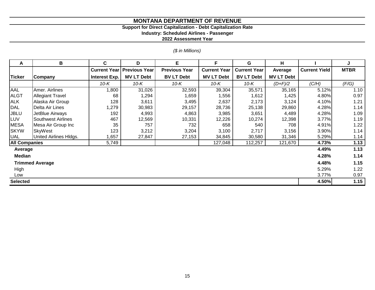#### **Support for Direct Capitalization - Debt Capitalization Rate**

**Industry: Scheduled Airlines - Passenger**

**2022 Assessment Year**

*(\$ in Millions)*

| A                      | В                         | C                    | D                    | Е                    | F                   | G                   | н                 |                      | J           |
|------------------------|---------------------------|----------------------|----------------------|----------------------|---------------------|---------------------|-------------------|----------------------|-------------|
|                        |                           | <b>Current Year</b>  | <b>Previous Year</b> | <b>Previous Year</b> | <b>Current Year</b> | <b>Current Year</b> | Average           | <b>Current Yield</b> | <b>MTBR</b> |
| <b>Ticker</b>          | Company                   | <b>Interest Exp.</b> | <b>MV LT Debt</b>    | <b>BV LT Debt</b>    | <b>MV LT Debt</b>   | <b>BV LT Debt</b>   | <b>MV LT Debt</b> |                      |             |
|                        |                           | $10-K$               | $10-K$               | 10-K                 | 10-K                | 10-K                | $(D+F)/2$         | (C/H)                | (F/G)       |
| <b>AAL</b>             | Amer. Airlines            | 1,800                | 31,026               | 32,593               | 39,304              | 35,571              | 35,165            | 5.12%                | 1.10        |
| <b>ALGT</b>            | <b>Allegiant Travel</b>   | 68                   | 1,294                | 1,659                | 1,556               | 1,612               | 1,425             | 4.80%                | 0.97        |
| <b>ALK</b>             | Alaska Air Group          | 128                  | 3,611                | 3,495                | 2,637               | 2,173               | 3,124             | 4.10%                | 1.21        |
| DAL                    | Delta Air Lines           | 1,279                | 30,983               | 29,157               | 28,736              | 25,138              | 29,860            | 4.28%                | 1.14        |
| <b>JBLU</b>            | JetBlue Airways           | 192                  | 4,993                | 4,863                | 3,985               | 3,651               | 4,489             | 4.28%                | 1.09        |
| LUV                    | <b>Southwest Airlines</b> | 467                  | 12,569               | 10,331               | 12,226              | 10,274              | 12,398            | 3.77%                | 1.19        |
| <b>MESA</b>            | Mesa Air Group Inc        | 35                   | 757                  | 732                  | 658                 | 540                 | 708               | 4.91%                | 1.22        |
| <b>SKYW</b>            | <b>SkyWest</b>            | 123                  | 3,212                | 3,204                | 3,100               | 2,717               | 3,156             | 3.90%                | 1.14        |
| <b>UAL</b>             | United Airlines Hldgs.    | ,657                 | 27,847               | 27,153               | 34,845              | 30,580              | 31,346            | 5.29%                | 1.14        |
| <b>All Companies</b>   |                           | 5,749                |                      |                      | 127,048             | 112,257             | 121,670           | 4.73%                | 1.13        |
| Average                |                           |                      |                      |                      |                     |                     |                   | 4.49%                | 1.13        |
| <b>Median</b>          |                           |                      |                      |                      |                     |                     |                   | 4.28%                | 1.14        |
| <b>Trimmed Average</b> |                           |                      |                      |                      |                     |                     |                   | 4.48%                | 1.15        |
| High                   |                           |                      |                      |                      |                     |                     |                   |                      | 1.22        |
| Low                    |                           | 3.77%                | 0.97                 |                      |                     |                     |                   |                      |             |
| <b>Selected</b>        |                           |                      |                      |                      |                     |                     |                   | 4.50%                | 1.15        |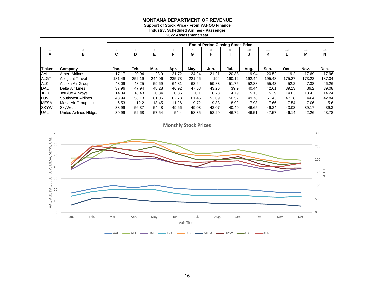#### **Support of Stock Price - From YAHOO Finance Industry: Scheduled Airlines - Passenger**

**2022 Assessment Year**

|               |                         | <b>End of Period Closing Stock Price</b> |        |        |        |        |       |        |        |        |        |        |        |  |
|---------------|-------------------------|------------------------------------------|--------|--------|--------|--------|-------|--------|--------|--------|--------|--------|--------|--|
|               |                         |                                          |        |        |        |        |       |        | 10     |        |        | 13     | 14     |  |
| A             | в                       |                                          | D      | Е      |        | G      | н     |        |        | κ      |        | М      | N      |  |
|               |                         |                                          |        |        |        |        |       |        |        |        |        |        |        |  |
| <b>Ticker</b> | Company                 | Jan.                                     | Feb.   | Mar.   | Apr.   | May.   | Jun.  | Jul.   | Aug.   | Sep.   | Oct.   | Nov.   | Dec.   |  |
| AAL           | Amer, Airlines          | 17.17                                    | 20.94  | 23.9   | 21.72  | 24.24  | 21.21 | 20.38  | 19.94  | 20.52  | 19.2   | 17.69  | 17.96  |  |
| <b>ALGT</b>   | <b>Allegiant Travel</b> | 181.49                                   | 252.19 | 244.06 | 235.73 | 221.46 | 194   | 190.12 | 192.44 | 195.48 | 175.27 | 173.22 | 187.04 |  |
| <b>ALK</b>    | Alaska Air Group        | 48.09                                    | 48.25  | 59.69  | 64.81  | 63.64  | 59.83 | 51.75  | 52.88  | 55.43  | 52.2   | 47.38  | 46.26  |  |
| <b>DAL</b>    | Delta Air Lines         | 37.96                                    | 47.94  | 48.28  | 46.92  | 47.68  | 43.26 | 39.9   | 40.44  | 42.61  | 39.13  | 36.2   | 39.08  |  |
| <b>JBLU</b>   | JetBlue Airways         | 14.34                                    | 18.43  | 20.34  | 20.36  | 20.1   | 16.78 | 14.79  | 15.13  | 15.29  | 14.03  | 13.42  | 14.24  |  |
| LUV           | Southwest Airlines      | 43.94                                    | 58.13  | 61.06  | 62.78  | 61.46  | 53.09 | 50.52  | 49.78  | 51.43  | 47.28  | 44.4   | 42.84  |  |
| <b>MESA</b>   | Mesa Air Group Inc      | 6.53                                     | 12.2   | 13.45  | 11.26  | 9.72   | 9.33  | 8.92   | 7.98   | 7.66   | 7.54   | 7.06   | 5.6    |  |
| <b>SKYW</b>   | SkvWest                 | 38.99                                    | 56.37  | 54.48  | 49.66  | 49.03  | 43.07 | 40.49  | 46.65  | 49.34  | 43.03  | 39.17  | 39.3   |  |
| <b>UAL</b>    | United Airlines HIdgs.  | 39.99                                    | 52.68  | 57.54  | 54.4   | 58.35  | 52.29 | 46.72  | 46.51  | 47.57  | 46.14  | 42.26  | 43.78  |  |